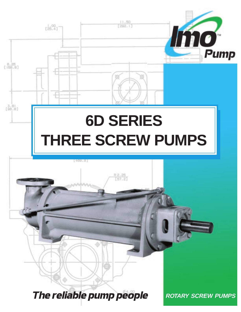

**The reliable pump people** ROTARY SCREW PUMPS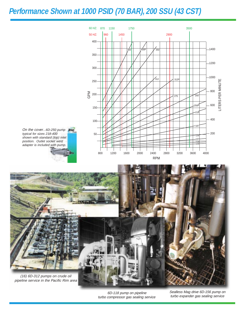## **Performance Shown at 1000 PSID (70 BAR), 200 SSU (43 CST)**



On the cover...6D-250 pump line typical for sizes 218-400 shown with standard (top) inlet position. Outlet socket weld adapter is included with pump.



6D-118 pump on pipeline turbo compressor gas sealing service Sealless Mag drive 6D-156 pump on turbo expander gas sealing service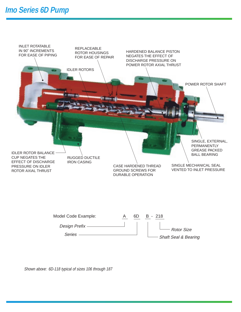



Shown above: 6D-118 typical of sizes 106 through 187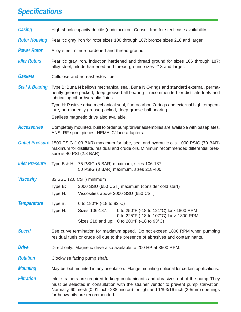## **Specifications**

| <b>Casing</b>             | High shock capacity ductile (nodular) iron. Consult Imo for steel case availability.                                                                                                                                                                                                                       |                                                                                              |                                                                                     |  |  |  |  |  |  |
|---------------------------|------------------------------------------------------------------------------------------------------------------------------------------------------------------------------------------------------------------------------------------------------------------------------------------------------------|----------------------------------------------------------------------------------------------|-------------------------------------------------------------------------------------|--|--|--|--|--|--|
| <b>Rotor Housing</b>      | Pearlitic gray iron for rotor sizes 106 through 187; bronze sizes 218 and larger.                                                                                                                                                                                                                          |                                                                                              |                                                                                     |  |  |  |  |  |  |
| <b>Power Rotor</b>        | Alloy steel, nitride hardened and thread ground.                                                                                                                                                                                                                                                           |                                                                                              |                                                                                     |  |  |  |  |  |  |
| <b>Idler Rotors</b>       | Pearlitic gray iron, induction hardened and thread ground for sizes 106 through 187;<br>alloy steel, nitride hardened and thread ground sizes 218 and larger.                                                                                                                                              |                                                                                              |                                                                                     |  |  |  |  |  |  |
| <b>Gaskets</b>            | Cellulose and non-asbestos fiber.                                                                                                                                                                                                                                                                          |                                                                                              |                                                                                     |  |  |  |  |  |  |
| <b>Seal &amp; Bearing</b> | Type B: Buna N bellows mechanical seal, Buna N O-rings and standard external, perma-<br>nently grease packed, deep groove ball bearing – recommended for distillate fuels and<br>lubricating oil or hydraulic fluids.                                                                                      |                                                                                              |                                                                                     |  |  |  |  |  |  |
|                           | Type H: Positive drive mechanical seal, fluorocarbon O-rings and external high tempera-<br>ture, permanently grease packed, deep groove ball bearing.                                                                                                                                                      |                                                                                              |                                                                                     |  |  |  |  |  |  |
|                           | Sealless magnetic drive also available.                                                                                                                                                                                                                                                                    |                                                                                              |                                                                                     |  |  |  |  |  |  |
| <b>Accessories</b>        | Completely mounted, built to order pump/driver assemblies are available with baseplates,<br>ANSI RF spool pieces, NEMA 'C' face adapters.                                                                                                                                                                  |                                                                                              |                                                                                     |  |  |  |  |  |  |
|                           | <b>Outlet Pressure</b> 1500 PSIG (103 BAR) maximum for lube, seal and hydraulic oils. 1000 PSIG (70 BAR)<br>maximum for distillate, residual and crude oils. Minimum recommended differential pres-<br>sure is 40 PSI (2.8 BAR).                                                                           |                                                                                              |                                                                                     |  |  |  |  |  |  |
| <b>Inlet Pressure</b>     |                                                                                                                                                                                                                                                                                                            | Type B & H: 75 PSIG (5 BAR) maximum, sizes 106-187<br>50 PSIG (3 BAR) maximum, sizes 218-400 |                                                                                     |  |  |  |  |  |  |
| <b>Viscosity</b>          | 33 SSU (2.0 CST) minimum                                                                                                                                                                                                                                                                                   |                                                                                              |                                                                                     |  |  |  |  |  |  |
|                           | Type B:<br>3000 SSU (650 CST) maximum (consider cold start)                                                                                                                                                                                                                                                |                                                                                              |                                                                                     |  |  |  |  |  |  |
|                           | Type H:                                                                                                                                                                                                                                                                                                    | Viscosities above 3000 SSU (650 CST)                                                         |                                                                                     |  |  |  |  |  |  |
| <b>Temperature</b>        |                                                                                                                                                                                                                                                                                                            | Type B: $0 \text{ to } 180^{\circ}F$ (-18 to 82 $^{\circ}C$ )                                |                                                                                     |  |  |  |  |  |  |
|                           | Type $H$ :                                                                                                                                                                                                                                                                                                 | Sizes 106-187:                                                                               | 0 to 250°F (-18 to 121°C) for <1800 RPM<br>0 to 225°F (-18 to 107°C) for > 1800 RPM |  |  |  |  |  |  |
|                           |                                                                                                                                                                                                                                                                                                            |                                                                                              | Sizes 218 and up: 0 to 200°F (-18 to 93°C)                                          |  |  |  |  |  |  |
| <b>Speed</b>              | See curve termination for maximum speed. Do not exceed 1800 RPM when pumping<br>residual fuels or crude oil due to the presence of abrasives and contaminants.                                                                                                                                             |                                                                                              |                                                                                     |  |  |  |  |  |  |
| <b>Drive</b>              | Direct only. Magnetic drive also available to 200 HP at 3500 RPM.                                                                                                                                                                                                                                          |                                                                                              |                                                                                     |  |  |  |  |  |  |
| <b>Rotation</b>           | Clockwise facing pump shaft.                                                                                                                                                                                                                                                                               |                                                                                              |                                                                                     |  |  |  |  |  |  |
| <b>Mounting</b>           | May be foot mounted in any orientation. Flange mounting optional for certain applications.                                                                                                                                                                                                                 |                                                                                              |                                                                                     |  |  |  |  |  |  |
| <b>Filtration</b>         | Inlet strainers are required to keep contaminants and abrasives out of the pump. They<br>must be selected in consultation with the strainer vendor to prevent pump starvation.<br>Normally, 60 mesh (0.01 inch-238 micron) for light and 1/8-3/16 inch (3-5mm) openings<br>for heavy oils are recommended. |                                                                                              |                                                                                     |  |  |  |  |  |  |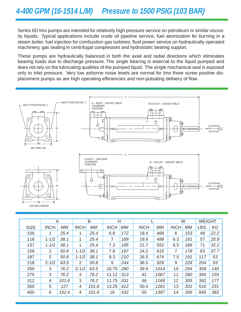Series 6D Imo pumps are intended for relatively high pressure service on petroleum or similar viscosity liquids. Typical applications include crude oil pipeline service, fuel atomization for burning in a steam boiler, fuel injection for combustion gas turbines, fluid power service on hydraulically operated machinery, gas sealing in centrifugal compressors and hydrostatic bearing support.

These pumps are hydraulically balanced in both the axial and radial directions which eliminates bearing loads due to discharge pressure. The single bearing is external to the liquid pumped and does not rely on the lubricating qualities of the pumped liquid. The single mechanical seal is exposed only to inlet pressure. Very low airborne noise levels are normal for Imo three screw positive displacement pumps as are high operating efficiencies and non-pulsating delivery of flow.



|             | Α           |       | B           |           | H           |            |             |           | W           |     | <b>WEIGHT</b> |      |
|-------------|-------------|-------|-------------|-----------|-------------|------------|-------------|-----------|-------------|-----|---------------|------|
| <b>SIZE</b> | <b>INCH</b> | MМ    | <b>INCH</b> | <b>MM</b> | <b>INCH</b> | МM         | <b>INCH</b> | <b>MM</b> | <b>INCH</b> | МM  | LBS.          | KG   |
| 106         | 1           | 25.4  | 1           | 25.4      | 6.8         | 172        | 18.4        | 468       | 6           | 153 | 49            | 22.2 |
| 118         | $1 - 1/2$   | 38.1  | 1           | 25.4      | 7           | 189        | 19.6        | 498       | 6.3         | 161 | 57            | 25.9 |
| 137         | $1 - 1/2$   | 38.1  | 1           | 25.4      | 7.3         | 185        | 21.7        | 552       | 6.5         | 166 | 71            | 32.2 |
| 156         | 2           | 50.8  | $1 - 1/2$   | 38.1      | 7.8         | 197        | 24.2        | 615       | 7           | 178 | 83            | 37.7 |
| 187         | 2           | 50.8  | $1 - 1/2$   | 38.1      | 8.3         | 210        | 26.5        | 674       | 7.5         | 191 | 117           | 53   |
| 218         | $2 - 1/2$   | 63.5  | 2           | 50.8      | 9           | 244        | 36.5        | 928       | 9           | 228 | 204           | 93   |
| 250         | 3           | 76.2  | $2 - 1/2$   | 63.5      | 10.75       | <i>280</i> | 39.9        | 1014      | 10          | 254 | 309           | 140  |
| 275         | 3           | 76.2  | 3           | 76.2      | 11.12       | 313        | 42          | 1067      | 11          | 280 | 350           | 159  |
| 312         | 4           | 101.6 | 3           | 76.2      | 11.75       | 331        | 46          | 1169      | 12          | 305 | 392           | 177  |
| 350         | 5           | 127   | 4           | 101.6     | 13.25       | 412        | 50.4        | 1281      | 13          | 331 | 510           | 231  |
| 400         | 6           | 152.4 | 4           | 101.6     | 16          | 432        | 55          | 1397      | 14          | 356 | 845           | 383  |